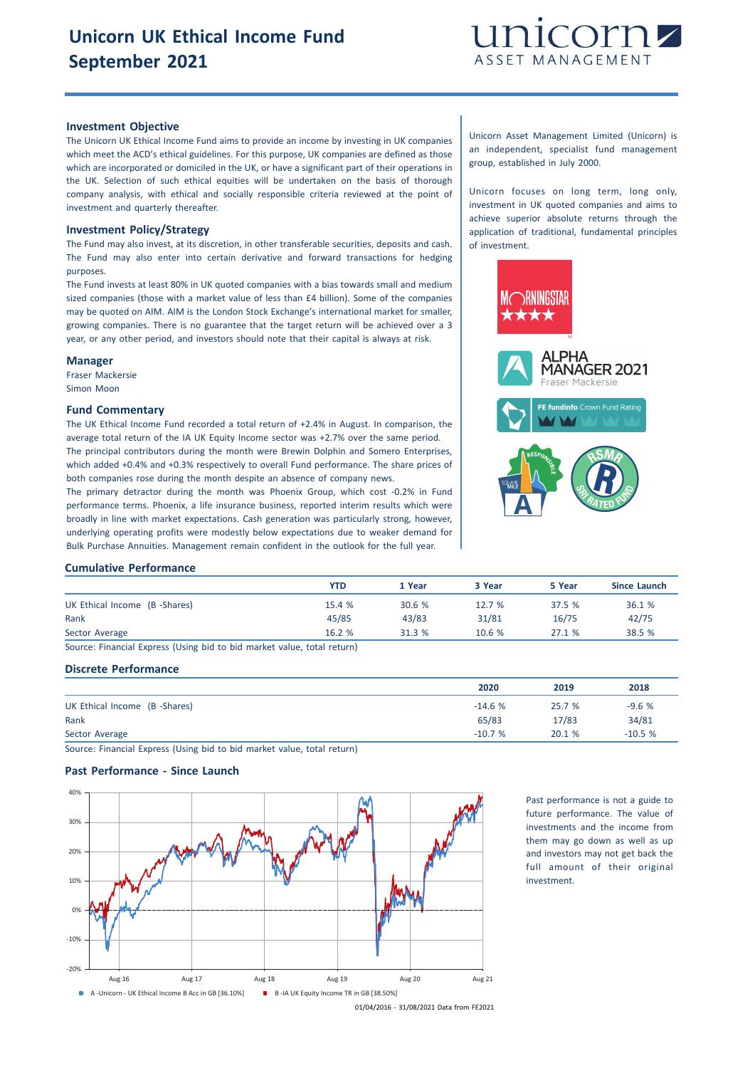

## **Investment Objective**

The Unicorn UK Ethical Income Fund aims to provide an income by investing in UK companies which meet the ACD's ethical guidelines. For this purpose, UK companies are defined as those which are incorporated or domiciled in the UK, or have a significant part of their operations in the UK. Selection of such ethical equities will be undertaken on the basis of thorough company analysis, with ethical and socially responsible criteria reviewed at the point of investment and quarterly thereafter.

### **Investment Policy/Strategy**

The Fund may also invest, at its discretion, in other transferable securities, deposits and cash. The Fund may also enter into certain derivative and forward transactions for hedging purposes.

The Fund invests at least 80% in UK quoted companies with a bias towards small and medium sized companies (those with a market value of less than £4 billion). Some of the companies may be quoted on AIM. AIM is the London Stock Exchange's international market for smaller, growing companies. There is no guarantee that the target return will be achieved over a 3 year, or any other period, and investors should note that their capital is always at risk.

### **Manager**

Fraser Mackersie Simon Moon

## **Fund Commentary**

The UK Ethical Income Fund recorded a total return of +2.4% in August. In comparison, the average total return of the IA UK Equity Income sector was +2.7% over the same period. The principal contributors during the month were Brewin Dolphin and Somero Enterprises, which added +0.4% and +0.3% respectively to overall Fund performance. The share prices of both companies rose during the month despite an absence of company news.

The primary detractor during the month was Phoenix Group, which cost -0.2% in Fund performance terms. Phoenix, a life insurance business, reported interim results which were broadly in line with market expectations. Cash generation was particularly strong, however, underlying operating profits were modestly below expectations due to weaker demand for Bulk Purchase Annuities. Management remain confident in the outlook for the full year.

Unicorn Asset Management Limited (Unicorn) is an independent, specialist fund management group, established in July 2000.

Unicorn focuses on long term, long only, investment in UK quoted companies and aims to achieve superior absolute returns through the application of traditional, fundamental principles of investment.



#### **Cumulative Performance**

|                               | YTD   | 1 Year | 3 Year | 5 Year | Since Launch |
|-------------------------------|-------|--------|--------|--------|--------------|
| UK Ethical Income (B -Shares) | 15.4% | 30.6%  | 12.7%  | 37.5 % | 36.1 %       |
| Rank                          | 45/85 | 43/83  | 31/81  | 16/75  | 42/75        |
| Sector Average                | 16.2% | 31.3 % | 10.6%  | 27.1%  | 38.5 %       |

Source: Financial Express (Using bid to bid market value, total return)

## **Discrete Performance**

|                               | 2020     | 2019   | 2018     |
|-------------------------------|----------|--------|----------|
| UK Ethical Income (B -Shares) | $-14.6%$ | 25.7 % | $-9.6%$  |
| Rank                          | 65/83    | 17/83  | 34/81    |
| Sector Average                | $-10.7%$ | 20.1 % | $-10.5%$ |

Source: Financial Express (Using bid to bid market value, total return)

# **Past Performance - Since Launch**



Past performance is not a guide to future performance. The value of investments and the income from them may go down as well as up and investors may not get back the full amount of their original investment.